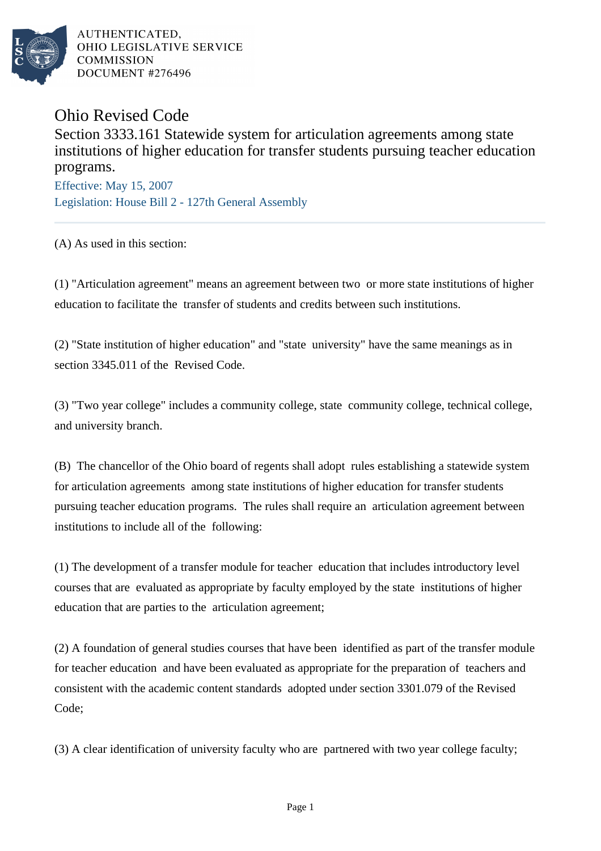

AUTHENTICATED. OHIO LEGISLATIVE SERVICE **COMMISSION** DOCUMENT #276496

Ohio Revised Code

Section 3333.161 Statewide system for articulation agreements among state institutions of higher education for transfer students pursuing teacher education programs.

Effective: May 15, 2007 Legislation: House Bill 2 - 127th General Assembly

(A) As used in this section:

(1) "Articulation agreement" means an agreement between two or more state institutions of higher education to facilitate the transfer of students and credits between such institutions.

(2) "State institution of higher education" and "state university" have the same meanings as in section 3345.011 of the Revised Code.

(3) "Two year college" includes a community college, state community college, technical college, and university branch.

(B) The chancellor of the Ohio board of regents shall adopt rules establishing a statewide system for articulation agreements among state institutions of higher education for transfer students pursuing teacher education programs. The rules shall require an articulation agreement between institutions to include all of the following:

(1) The development of a transfer module for teacher education that includes introductory level courses that are evaluated as appropriate by faculty employed by the state institutions of higher education that are parties to the articulation agreement;

(2) A foundation of general studies courses that have been identified as part of the transfer module for teacher education and have been evaluated as appropriate for the preparation of teachers and consistent with the academic content standards adopted under section 3301.079 of the Revised Code;

(3) A clear identification of university faculty who are partnered with two year college faculty;